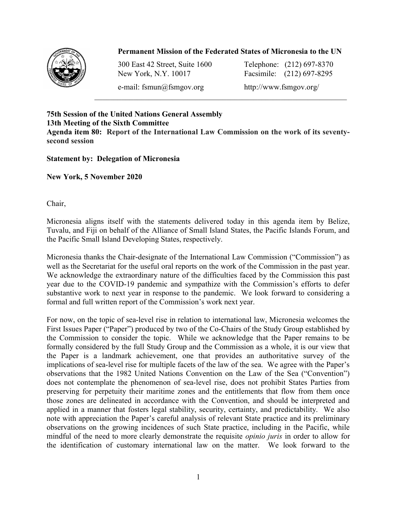## Permanent Mission of the Federated States of Micronesia to the UN

 $\_$  , and the set of the set of the set of the set of the set of the set of the set of the set of the set of the set of the set of the set of the set of the set of the set of the set of the set of the set of the set of th



300 East 42 Street, Suite 1600 Telephone: (212) 697-8370 New York, N.Y. 10017 Facsimile: (212) 697-8295

e-mail: fsmun@fsmgov.org http://www.fsmgov.org/

75th Session of the United Nations General Assembly 13th Meeting of the Sixth Committee Agenda item 80: Report of the International Law Commission on the work of its seventysecond session

## Statement by: Delegation of Micronesia

New York, 5 November 2020

Chair,

Micronesia aligns itself with the statements delivered today in this agenda item by Belize, Tuvalu, and Fiji on behalf of the Alliance of Small Island States, the Pacific Islands Forum, and the Pacific Small Island Developing States, respectively.

Micronesia thanks the Chair-designate of the International Law Commission ("Commission") as well as the Secretariat for the useful oral reports on the work of the Commission in the past year. We acknowledge the extraordinary nature of the difficulties faced by the Commission this past year due to the COVID-19 pandemic and sympathize with the Commission's efforts to defer substantive work to next year in response to the pandemic. We look forward to considering a formal and full written report of the Commission's work next year.

For now, on the topic of sea-level rise in relation to international law, Micronesia welcomes the First Issues Paper ("Paper") produced by two of the Co-Chairs of the Study Group established by the Commission to consider the topic. While we acknowledge that the Paper remains to be formally considered by the full Study Group and the Commission as a whole, it is our view that the Paper is a landmark achievement, one that provides an authoritative survey of the implications of sea-level rise for multiple facets of the law of the sea. We agree with the Paper's observations that the 1982 United Nations Convention on the Law of the Sea ("Convention") does not contemplate the phenomenon of sea-level rise, does not prohibit States Parties from preserving for perpetuity their maritime zones and the entitlements that flow from them once those zones are delineated in accordance with the Convention, and should be interpreted and applied in a manner that fosters legal stability, security, certainty, and predictability. We also note with appreciation the Paper's careful analysis of relevant State practice and its preliminary observations on the growing incidences of such State practice, including in the Pacific, while mindful of the need to more clearly demonstrate the requisite opinio juris in order to allow for the identification of customary international law on the matter. We look forward to the